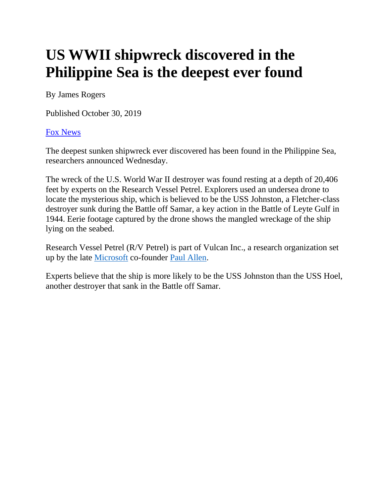## **US WWII shipwreck discovered in the Philippine Sea is the deepest ever found**

By James Rogers

Published October 30, 2019

## [Fox News](http://www.foxnews.com/)

The deepest sunken shipwreck ever discovered has been found in the Philippine Sea, researchers announced Wednesday.

The wreck of the U.S. World War II destroyer was found resting at a depth of 20,406 feet by experts on the Research Vessel Petrel. Explorers used an undersea drone to locate the mysterious ship, which is believed to be the USS Johnston, a Fletcher-class destroyer sunk during the Battle off Samar, a key action in the Battle of Leyte Gulf in 1944. Eerie footage captured by the drone shows the mangled wreckage of the ship lying on the seabed.

Research Vessel Petrel (R/V Petrel) is part of Vulcan Inc., a research organization set up by the late [Microsoft](https://www.foxnews.com/category/tech/companies/microsoft) co-founder [Paul Allen.](https://www.foxnews.com/tech/paul-allen-co-founder-of-microsoft-dead-at-65-family-says)

Experts believe that the ship is more likely to be the USS Johnston than the USS Hoel, another destroyer that sank in the Battle off Samar.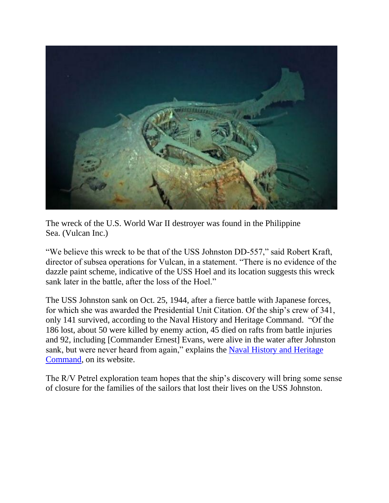

The wreck of the U.S. World War II destroyer was found in the Philippine Sea. (Vulcan Inc.)

"We believe this wreck to be that of the USS Johnston DD-557," said Robert Kraft, director of subsea operations for Vulcan, in a statement. "There is no evidence of the dazzle paint scheme, indicative of the USS Hoel and its location suggests this wreck sank later in the battle, after the loss of the Hoel."

The USS Johnston sank on Oct. 25, 1944, after a fierce battle with Japanese forces, for which she was awarded the Presidential Unit Citation. Of the ship's crew of 341, only 141 survived, according to the Naval History and Heritage Command. "Of the 186 lost, about 50 were killed by enemy action, 45 died on rafts from battle injuries and 92, including [Commander Ernest] Evans, were alive in the water after Johnston sank, but were never heard from again," explains the [Naval History and Heritage](https://www.history.navy.mil/browse-by-topic/ships/modern-ships/johnston.html)  [Command,](https://www.history.navy.mil/browse-by-topic/ships/modern-ships/johnston.html) on its website.

The R/V Petrel exploration team hopes that the ship's discovery will bring some sense of closure for the families of the sailors that lost their lives on the USS Johnston.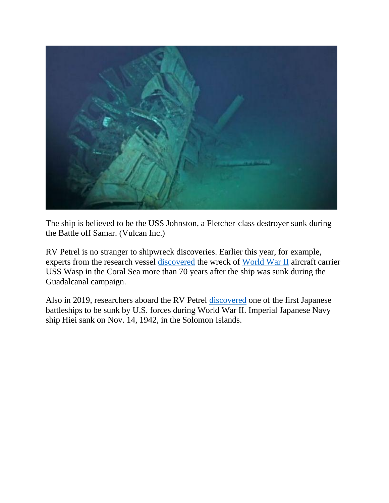

The ship is believed to be the USS Johnston, a Fletcher-class destroyer sunk during the Battle off Samar. (Vulcan Inc.)

RV Petrel is no stranger to shipwreck discoveries. Earlier this year, for example, experts from the research vessel [discovered](https://www.foxnews.com/tech/wreck-of-wwii-aircraft-carrier-uss-wasp-discovered-in-the-coral-sea) the wreck of [World War II](https://www.foxnews.com/category/topic/world-war-two) aircraft carrier USS Wasp in the Coral Sea more than 70 years after the ship was sunk during the Guadalcanal campaign.

Also in 2019, researchers aboard the RV Petrel [discovered](https://www.foxnews.com/science/wreck-of-one-of-the-first-japanese-battleships-sunk-by-the-us-in-ww-ii-discovered) one of the first Japanese battleships to be sunk by U.S. forces during World War II. Imperial Japanese Navy ship Hiei sank on Nov. 14, 1942, in the Solomon Islands.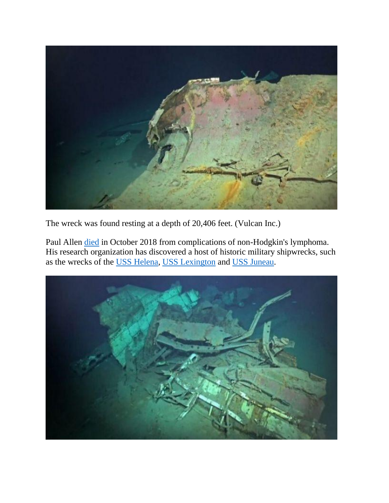

The wreck was found resting at a depth of 20,406 feet. (Vulcan Inc.)

Paul Allen [died](https://www.foxnews.com/tech/paul-allen-co-founder-of-microsoft-dead-at-65-family-says) in October 2018 from complications of non-Hodgkin's lymphoma. His research organization has discovered a host of historic military shipwrecks, such as the wrecks of the [USS Helena,](https://www.foxnews.com/science/wwii-wreck-uss-helena-discovered-by-microsoft-co-founder-paul-allens-crew) [USS Lexington](https://www.foxnews.com/science/uss-lexington-discovered-by-billionaire-paul-allens-crew-76-years-after-wwii-sinking) and [USS Juneau.](https://www.foxnews.com/us/long-lost-uss-indianapolis-wreckage-discovered-by-paul-allen-crew)